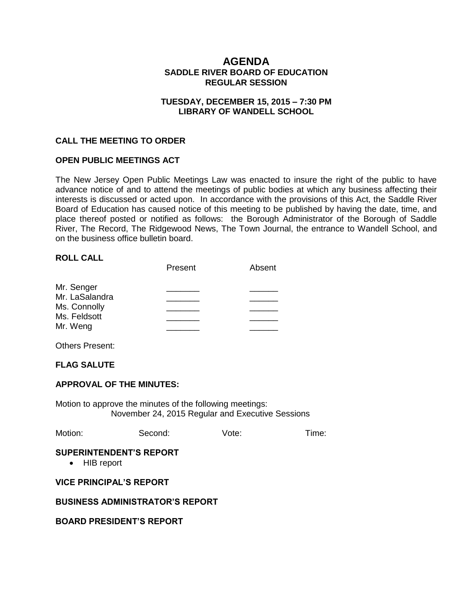# **AGENDA SADDLE RIVER BOARD OF EDUCATION REGULAR SESSION**

## **TUESDAY, DECEMBER 15, 2015 – 7:30 PM LIBRARY OF WANDELL SCHOOL**

### **CALL THE MEETING TO ORDER**

### **OPEN PUBLIC MEETINGS ACT**

The New Jersey Open Public Meetings Law was enacted to insure the right of the public to have advance notice of and to attend the meetings of public bodies at which any business affecting their interests is discussed or acted upon. In accordance with the provisions of this Act, the Saddle River Board of Education has caused notice of this meeting to be published by having the date, time, and place thereof posted or notified as follows: the Borough Administrator of the Borough of Saddle River, The Record, The Ridgewood News, The Town Journal, the entrance to Wandell School, and on the business office bulletin board.

#### **ROLL CALL**

|                | Present | Absent |
|----------------|---------|--------|
| Mr. Senger     |         |        |
| Mr. LaSalandra |         |        |
| Ms. Connolly   |         |        |
| Ms. Feldsott   |         |        |
| Mr. Weng       |         |        |

Others Present:

## **FLAG SALUTE**

#### **APPROVAL OF THE MINUTES:**

Motion to approve the minutes of the following meetings: November 24, 2015 Regular and Executive Sessions

| Motion:<br>Second:<br>Vote: | Time: |
|-----------------------------|-------|
|-----------------------------|-------|

#### **SUPERINTENDENT'S REPORT**

• HIB report

### **VICE PRINCIPAL'S REPORT**

### **BUSINESS ADMINISTRATOR'S REPORT**

### **BOARD PRESIDENT'S REPORT**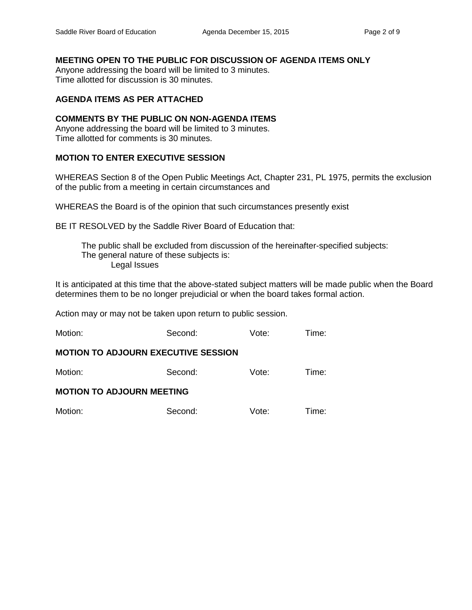# **MEETING OPEN TO THE PUBLIC FOR DISCUSSION OF AGENDA ITEMS ONLY**

Anyone addressing the board will be limited to 3 minutes. Time allotted for discussion is 30 minutes.

# **AGENDA ITEMS AS PER ATTACHED**

# **COMMENTS BY THE PUBLIC ON NON-AGENDA ITEMS**

Anyone addressing the board will be limited to 3 minutes. Time allotted for comments is 30 minutes.

# **MOTION TO ENTER EXECUTIVE SESSION**

WHEREAS Section 8 of the Open Public Meetings Act, Chapter 231, PL 1975, permits the exclusion of the public from a meeting in certain circumstances and

WHEREAS the Board is of the opinion that such circumstances presently exist

BE IT RESOLVED by the Saddle River Board of Education that:

 The public shall be excluded from discussion of the hereinafter-specified subjects: The general nature of these subjects is: Legal Issues

It is anticipated at this time that the above-stated subject matters will be made public when the Board determines them to be no longer prejudicial or when the board takes formal action.

Action may or may not be taken upon return to public session.

| Motion:                                    | Second: | Vote: | Time: |
|--------------------------------------------|---------|-------|-------|
| <b>MOTION TO ADJOURN EXECUTIVE SESSION</b> |         |       |       |
| Motion:                                    | Second: | Vote: | Time: |
| <b>MOTION TO ADJOURN MEETING</b>           |         |       |       |
| Motion:                                    | Second: | Vote: | Time: |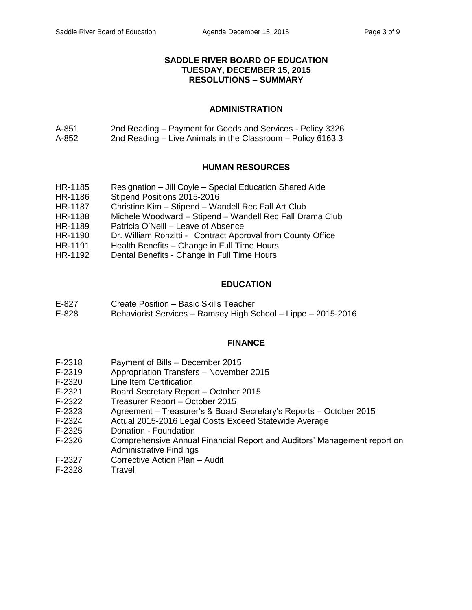# **SADDLE RIVER BOARD OF EDUCATION TUESDAY, DECEMBER 15, 2015 RESOLUTIONS – SUMMARY**

# **ADMINISTRATION**

A-851 2nd Reading – Payment for Goods and Services - Policy 3326 A-852 2nd Reading – Live Animals in the Classroom – Policy 6163.3

# **HUMAN RESOURCES**

- HR-1185 Resignation Jill Coyle Special Education Shared Aide
- HR-1186 Stipend Positions 2015-2016
- HR-1187 Christine Kim Stipend Wandell Rec Fall Art Club
- HR-1188 Michele Woodward Stipend Wandell Rec Fall Drama Club
- HR-1189 Patricia O'Neill Leave of Absence
- HR-1190 Dr. William Ronzitti Contract Approval from County Office
- HR-1191 Health Benefits Change in Full Time Hours
- HR-1192 Dental Benefits Change in Full Time Hours

# **EDUCATION**

- E-827 Create Position Basic Skills Teacher
- E-828 Behaviorist Services Ramsey High School Lippe 2015-2016

# **FINANCE**

- F-2318 Payment of Bills December 2015
- F-2319 Appropriation Transfers November 2015<br>F-2320 Line Item Certification
- Line Item Certification
- F-2321 Board Secretary Report October 2015
- F-2322 Treasurer Report October 2015
- F-2323 Agreement Treasurer's & Board Secretary's Reports October 2015
- F-2324 Actual 2015-2016 Legal Costs Exceed Statewide Average
- F-2325 Donation Foundation
- F-2326 Comprehensive Annual Financial Report and Auditors' Management report on Administrative Findings
- F-2327 Corrective Action Plan Audit
- F-2328 Travel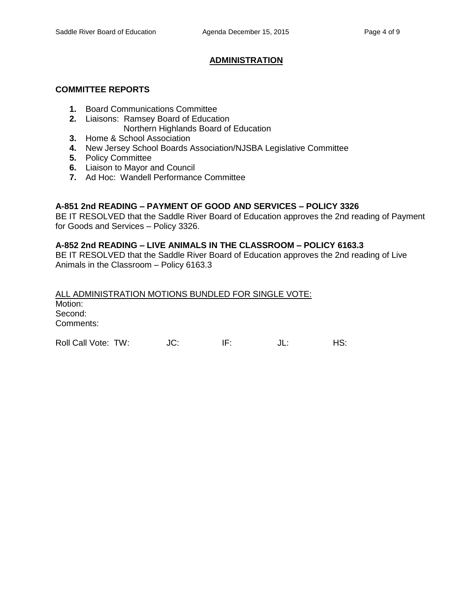# **ADMINISTRATION**

### **COMMITTEE REPORTS**

- **1.** Board Communications Committee
- **2.** Liaisons: Ramsey Board of Education Northern Highlands Board of Education
- **3.** Home & School Association
- **4.** New Jersey School Boards Association/NJSBA Legislative Committee
- **5.** Policy Committee
- **6.** Liaison to Mayor and Council
- **7.** Ad Hoc: Wandell Performance Committee

# **A-851 2nd READING – PAYMENT OF GOOD AND SERVICES – POLICY 3326**

BE IT RESOLVED that the Saddle River Board of Education approves the 2nd reading of Payment for Goods and Services – Policy 3326.

# **A-852 2nd READING – LIVE ANIMALS IN THE CLASSROOM – POLICY 6163.3**

BE IT RESOLVED that the Saddle River Board of Education approves the 2nd reading of Live Animals in the Classroom – Policy 6163.3

ALL ADMINISTRATION MOTIONS BUNDLED FOR SINGLE VOTE: Motion: Second: Comments: Roll Call Vote: TW:  $JC$ : IF: JL: HS: HS: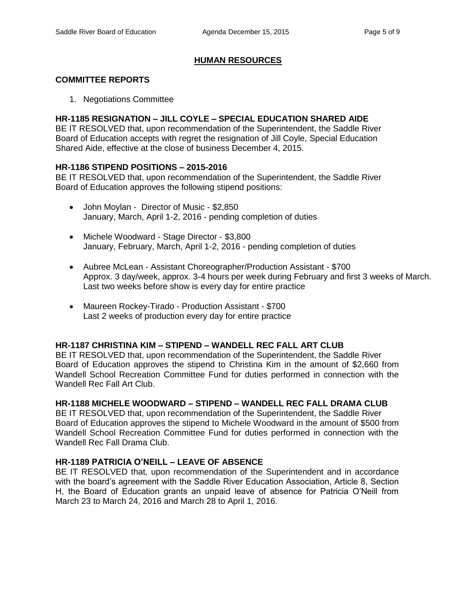# **HUMAN RESOURCES**

# **COMMITTEE REPORTS**

1. Negotiations Committee

# **HR-1185 RESIGNATION – JILL COYLE – SPECIAL EDUCATION SHARED AIDE**

BE IT RESOLVED that, upon recommendation of the Superintendent, the Saddle River Board of Education accepts with regret the resignation of Jill Coyle, Special Education Shared Aide, effective at the close of business December 4, 2015.

### **HR-1186 STIPEND POSITIONS – 2015-2016**

BE IT RESOLVED that, upon recommendation of the Superintendent, the Saddle River Board of Education approves the following stipend positions:

- John Moylan Director of Music \$2,850 January, March, April 1-2, 2016 - pending completion of duties
- Michele Woodward Stage Director \$3,800 January, February, March, April 1-2, 2016 - pending completion of duties
- Aubree McLean Assistant Choreographer/Production Assistant \$700 Approx. 3 day/week, approx. 3-4 hours per week during February and first 3 weeks of March. Last two weeks before show is every day for entire practice
- Maureen Rockey-Tirado Production Assistant \$700 Last 2 weeks of production every day for entire practice

# **HR-1187 CHRISTINA KIM – STIPEND – WANDELL REC FALL ART CLUB**

BE IT RESOLVED that, upon recommendation of the Superintendent, the Saddle River Board of Education approves the stipend to Christina Kim in the amount of \$2,660 from Wandell School Recreation Committee Fund for duties performed in connection with the Wandell Rec Fall Art Club.

### **HR-1188 MICHELE WOODWARD – STIPEND – WANDELL REC FALL DRAMA CLUB**

BE IT RESOLVED that, upon recommendation of the Superintendent, the Saddle River Board of Education approves the stipend to Michele Woodward in the amount of \$500 from Wandell School Recreation Committee Fund for duties performed in connection with the Wandell Rec Fall Drama Club.

# **HR-1189 PATRICIA O'NEILL – LEAVE OF ABSENCE**

BE IT RESOLVED that, upon recommendation of the Superintendent and in accordance with the board's agreement with the Saddle River Education Association, Article 8, Section H, the Board of Education grants an unpaid leave of absence for Patricia O'Neill from March 23 to March 24, 2016 and March 28 to April 1, 2016.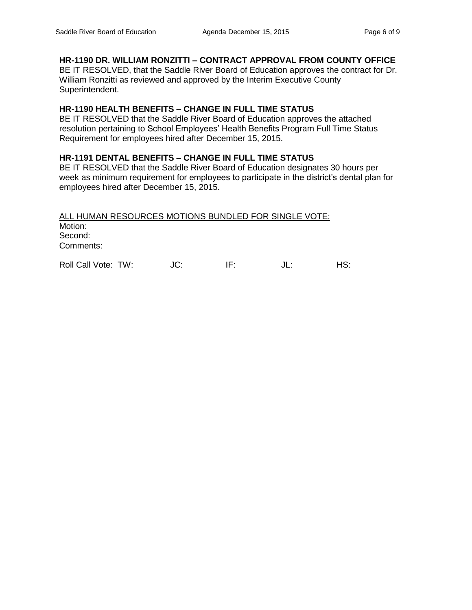# **HR-1190 DR. WILLIAM RONZITTI – CONTRACT APPROVAL FROM COUNTY OFFICE**

BE IT RESOLVED, that the Saddle River Board of Education approves the contract for Dr. William Ronzitti as reviewed and approved by the Interim Executive County Superintendent.

# **HR-1190 HEALTH BENEFITS – CHANGE IN FULL TIME STATUS**

BE IT RESOLVED that the Saddle River Board of Education approves the attached resolution pertaining to School Employees' Health Benefits Program Full Time Status Requirement for employees hired after December 15, 2015.

# **HR-1191 DENTAL BENEFITS – CHANGE IN FULL TIME STATUS**

BE IT RESOLVED that the Saddle River Board of Education designates 30 hours per week as minimum requirement for employees to participate in the district's dental plan for employees hired after December 15, 2015.

ALL HUMAN RESOURCES MOTIONS BUNDLED FOR SINGLE VOTE: Motion: Second: Comments:

Roll Call Vote: TW:  $JC:$  IF:  $JL:$  HS: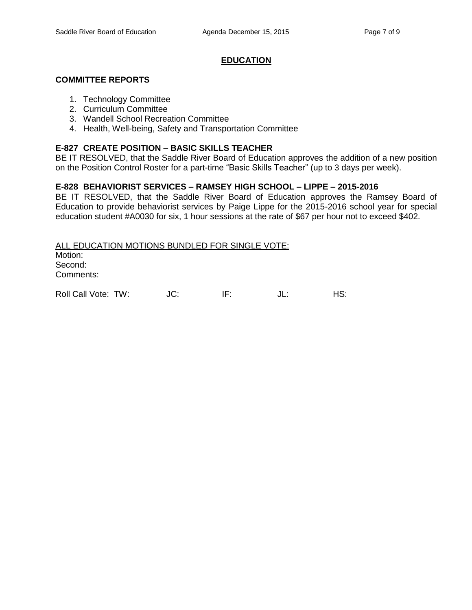# **EDUCATION**

### **COMMITTEE REPORTS**

- 1. Technology Committee
- 2. Curriculum Committee
- 3. Wandell School Recreation Committee
- 4. Health, Well-being, Safety and Transportation Committee

## **E-827 CREATE POSITION – BASIC SKILLS TEACHER**

BE IT RESOLVED, that the Saddle River Board of Education approves the addition of a new position on the Position Control Roster for a part-time "Basic Skills Teacher" (up to 3 days per week).

# **E-828 BEHAVIORIST SERVICES – RAMSEY HIGH SCHOOL – LIPPE – 2015-2016**

BE IT RESOLVED, that the Saddle River Board of Education approves the Ramsey Board of Education to provide behaviorist services by Paige Lippe for the 2015-2016 school year for special education student #A0030 for six, 1 hour sessions at the rate of \$67 per hour not to exceed \$402.

ALL EDUCATION MOTIONS BUNDLED FOR SINGLE VOTE: Motion: Second: Comments:

Roll Call Vote: TW:  $JC:$  IF:  $JL:$  HS: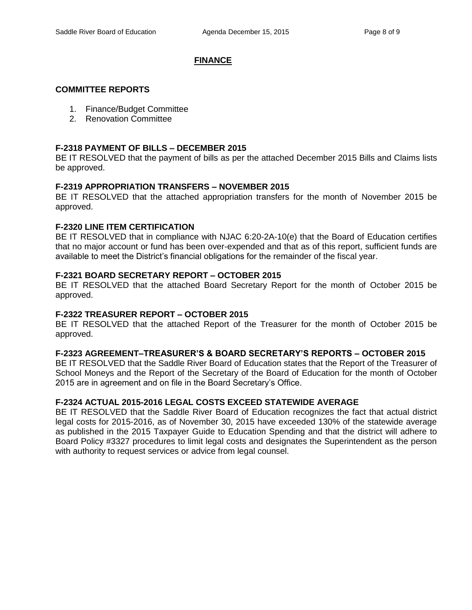## **FINANCE**

#### **COMMITTEE REPORTS**

- 1. Finance/Budget Committee
- 2. Renovation Committee

# **F-2318 PAYMENT OF BILLS – DECEMBER 2015**

BE IT RESOLVED that the payment of bills as per the attached December 2015 Bills and Claims lists be approved.

# **F-2319 APPROPRIATION TRANSFERS – NOVEMBER 2015**

BE IT RESOLVED that the attached appropriation transfers for the month of November 2015 be approved.

# **F-2320 LINE ITEM CERTIFICATION**

BE IT RESOLVED that in compliance with NJAC 6:20-2A-10(e) that the Board of Education certifies that no major account or fund has been over-expended and that as of this report, sufficient funds are available to meet the District's financial obligations for the remainder of the fiscal year.

# **F-2321 BOARD SECRETARY REPORT – OCTOBER 2015**

BE IT RESOLVED that the attached Board Secretary Report for the month of October 2015 be approved.

# **F-2322 TREASURER REPORT – OCTOBER 2015**

BE IT RESOLVED that the attached Report of the Treasurer for the month of October 2015 be approved.

### **F-2323 AGREEMENT–TREASURER'S & BOARD SECRETARY'S REPORTS – OCTOBER 2015**

BE IT RESOLVED that the Saddle River Board of Education states that the Report of the Treasurer of School Moneys and the Report of the Secretary of the Board of Education for the month of October 2015 are in agreement and on file in the Board Secretary's Office.

### **F-2324 ACTUAL 2015-2016 LEGAL COSTS EXCEED STATEWIDE AVERAGE**

BE IT RESOLVED that the Saddle River Board of Education recognizes the fact that actual district legal costs for 2015-2016, as of November 30, 2015 have exceeded 130% of the statewide average as published in the 2015 Taxpayer Guide to Education Spending and that the district will adhere to Board Policy #3327 procedures to limit legal costs and designates the Superintendent as the person with authority to request services or advice from legal counsel.